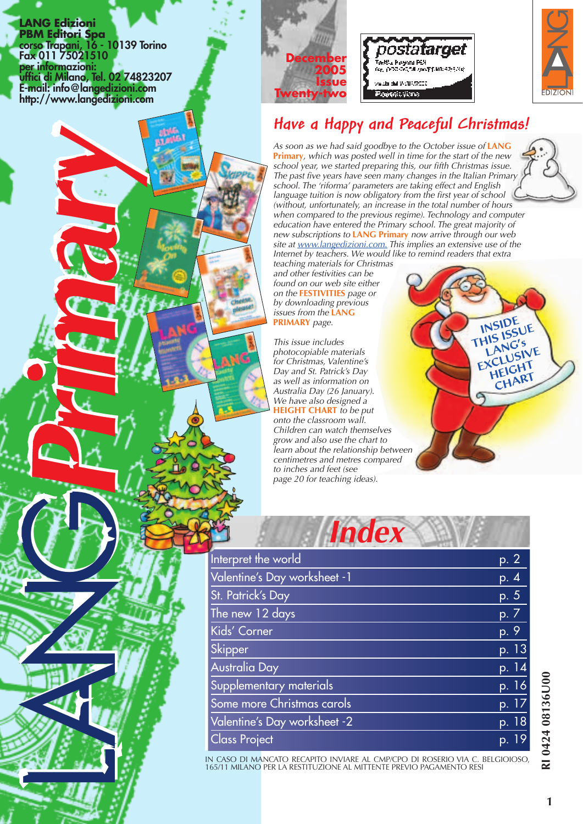**LANG Edizioni PBM Editori Spa corso Trapani, 16 - 10139 Torino Fax 011 75021510 per informazioni: uffici di Milano, Tel. 02 74823207 E-mail: info@langedizioni.com http://www.langedizioni.com**

**Primary Company** 

LANG CONTROL CONTROL

CANGES OF







### *Have a Happy and Peaceful Christmas!*

As soon as we had said goodbye to the October issue of **LANG Primary**, which was posted well in time for the start of the new school year, we started preparing this, our fifth Christmas issue. The past five years have seen many changes in the Italian Primary school. The 'riforma' parameters are taking effect and English language tuition is now obligatory from the first year of school (without, unfortunately, an increase in the total number of hours when compared to the previous regime). Technology and computer education have entered the Primary school. The great majority of new subscriptions to **LANG Primary** now arrive through our web site at www.langedizioni.com. This implies an extensive use of the Internet by teachers. We would like to remind readers that extra

teaching materials for Christmas and other festivities can be found on our web site either on the **FESTIVITIES** page or by downloading previous issues from the **LANG PRIMARY** page.

This issue includes photocopiable materials for Christmas, Valentine's Day and St. Patrick's Day as well as information on Australia Day (26 January). We have also designed a **HEIGHT CHART** to be put onto the classroom wall. Children can watch themselves grow and also use the chart to learn about the relationship between centimetres and metres compared to inches and feet (see page 20 for teaching ideas).



| <b>Index</b>                  |       |
|-------------------------------|-------|
| Interpret the world           | p. 2  |
| Valentine's Day worksheet - 1 | p. 4  |
| St. Patrick's Day             | p. 5  |
| The new 12 days               | p. 7  |
| Kids' Corner                  | p.9   |
| Skipper                       | p. 13 |
| <b>Australia Day</b>          | p. 14 |
| Supplementary materials       | p. 16 |
| Some more Christmas carols    | p. 17 |
| Valentine's Day worksheet -2  | p. 18 |
| <b>Class Project</b>          | p. 19 |

**Index** Index

IN CASO DI MANCATO RECAPITO INVIARE AL CMP/CPO DI ROSERIO VIA C. BELGIOIOSO, 165/11 MILANO PER LA RESTITUZIONE AL MITTENTE PREVIO PAGAMENTO RESI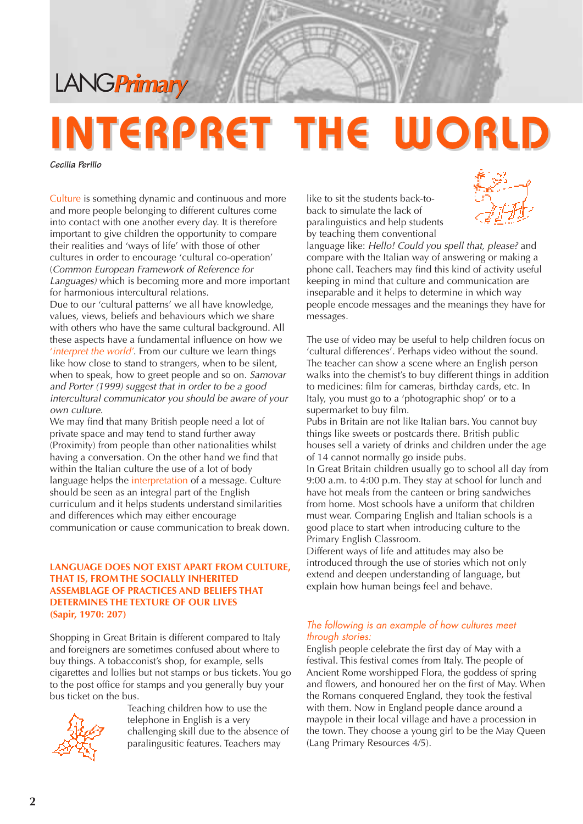## <span id="page-1-0"></span>NTERPRET THE WOR

**Cecilia Perillo**

Culture is something dynamic and continuous and more and more people belonging to different cultures come into contact with one another every day. It is therefore important to give children the opportunity to compare their realities and 'ways of life' with those of other cultures in order to encourage 'cultural co-operation' (Common European Framework of Reference for Languages) which is becoming more and more important for harmonious intercultural relations.

Due to our 'cultural patterns' we all have knowledge, values, views, beliefs and behaviours which we share with others who have the same cultural background. All these aspects have a fundamental influence on how we 'interpret the world'. From our culture we learn things like how close to stand to strangers, when to be silent, when to speak, how to greet people and so on. Samovar and Porter (1999) suggest that in order to be a good intercultural communicator you should be aware of your own culture.

We may find that many British people need a lot of private space and may tend to stand further away (Proximity) from people than other nationalities whilst having a conversation. On the other hand we find that within the Italian culture the use of a lot of body language helps the interpretation of a message. Culture should be seen as an integral part of the English curriculum and it helps students understand similarities and differences which may either encourage communication or cause communication to break down.

### **LANGUAGE DOES NOT EXIST APART FROM CULTURE, THAT IS, FROM THE SOCIALLY INHERITED ASSEMBLAGE OF PRACTICES AND BELIEFS THAT DETERMINES THE TEXTURE OF OUR LIVES (Sapir, 1970: 207)**

Shopping in Great Britain is different compared to Italy and foreigners are sometimes confused about where to buy things. A tobacconist's shop, for example, sells cigarettes and lollies but not stamps or bus tickets. You go to the post office for stamps and you generally buy your bus ticket on the bus.



Teaching children how to use the telephone in English is a very challenging skill due to the absence of paralingusitic features. Teachers may

like to sit the students back-toback to simulate the lack of paralinguistics and help students by teaching them conventional



language like: Hello! Could you spell that, please? and compare with the Italian way of answering or making a phone call. Teachers may find this kind of activity useful keeping in mind that culture and communication are inseparable and it helps to determine in which way people encode messages and the meanings they have for messages.

The use of video may be useful to help children focus on 'cultural differences'. Perhaps video without the sound. The teacher can show a scene where an English person walks into the chemist's to buy different things in addition to medicines: film for cameras, birthday cards, etc. In Italy, you must go to a 'photographic shop' or to a supermarket to buy film.

Pubs in Britain are not like Italian bars. You cannot buy things like sweets or postcards there. British public houses sell a variety of drinks and children under the age of 14 cannot normally go inside pubs.

In Great Britain children usually go to school all day from 9:00 a.m. to 4:00 p.m. They stay at school for lunch and have hot meals from the canteen or bring sandwiches from home. Most schools have a uniform that children must wear. Comparing English and Italian schools is a good place to start when introducing culture to the Primary English Classroom.

Different ways of life and attitudes may also be introduced through the use of stories which not only extend and deepen understanding of language, but explain how human beings feel and behave.

### The following is an example of how cultures meet through stories:

English people celebrate the first day of May with a festival. This festival comes from Italy. The people of Ancient Rome worshipped Flora, the goddess of spring and flowers, and honoured her on the first of May. When the Romans conquered England, they took the festival with them. Now in England people dance around a maypole in their local village and have a procession in the town. They choose a young girl to be the May Queen (Lang Primary Resources 4/5).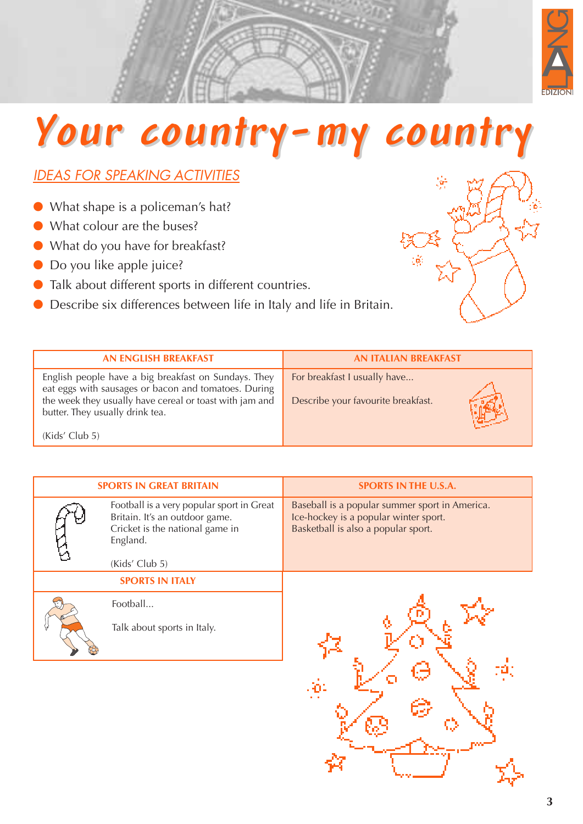

## *Your country-my country Your country-my country*

### IDEAS FOR SPEAKING ACTIVITIES

- What shape is a policeman's hat?
- What colour are the buses?
- What do you have for breakfast?
- Do you like apple juice?

- Talk about different sports in different countries.
- Describe six differences between life in Italy and life in Britain.

| AN ENGLISH BREAKFAST                                                                                                                                                                                                         | AN ITALIAN BREAKFAST                                               |
|------------------------------------------------------------------------------------------------------------------------------------------------------------------------------------------------------------------------------|--------------------------------------------------------------------|
| English people have a big breakfast on Sundays. They<br>eat eggs with sausages or bacon and tomatoes. During<br>the week they usually have cereal or toast with jam and<br>butter. They usually drink tea.<br>(Kids' Club 5) | For breakfast I usually have<br>Describe your favourite breakfast. |

| <b>SPORTS IN GREAT BRITAIN</b>                                                                                                               | <b>SPORTS IN THE U.S.A.</b>                                                                                                    |
|----------------------------------------------------------------------------------------------------------------------------------------------|--------------------------------------------------------------------------------------------------------------------------------|
| Football is a very popular sport in Great<br>Britain. It's an outdoor game.<br>Cricket is the national game in<br>England.<br>(Kids' Club 5) | Baseball is a popular summer sport in America.<br>Ice-hockey is a popular winter sport.<br>Basketball is also a popular sport. |
| <b>SPORTS IN ITALY</b>                                                                                                                       |                                                                                                                                |
| Football<br>Talk about sports in Italy.                                                                                                      |                                                                                                                                |

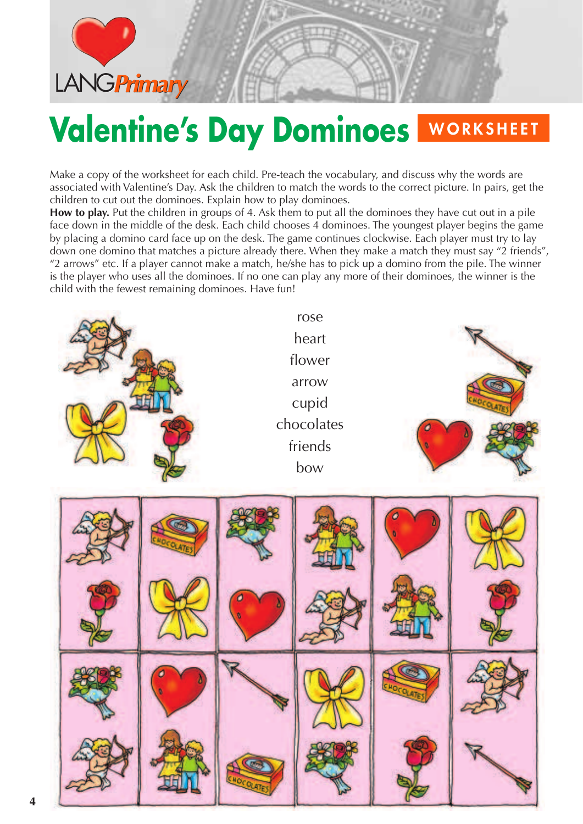<span id="page-3-0"></span>

Make a copy of the worksheet for each child. Pre-teach the vocabulary, and discuss why the words are associated with Valentine's Day. Ask the children to match the words to the correct picture. In pairs, get the children to cut out the dominoes. Explain how to play dominoes.

**How to play.** Put the children in groups of 4. Ask them to put all the dominoes they have cut out in a pile face down in the middle of the desk. Each child chooses 4 dominoes. The youngest player begins the game by placing a domino card face up on the desk. The game continues clockwise. Each player must try to lay down one domino that matches a picture already there. When they make a match they must say "2 friends", "2 arrows" etc. If a player cannot make a match, he/she has to pick up a domino from the pile. The winner is the player who uses all the dominoes. If no one can play any more of their dominoes, the winner is the child with the fewest remaining dominoes. Have fun!

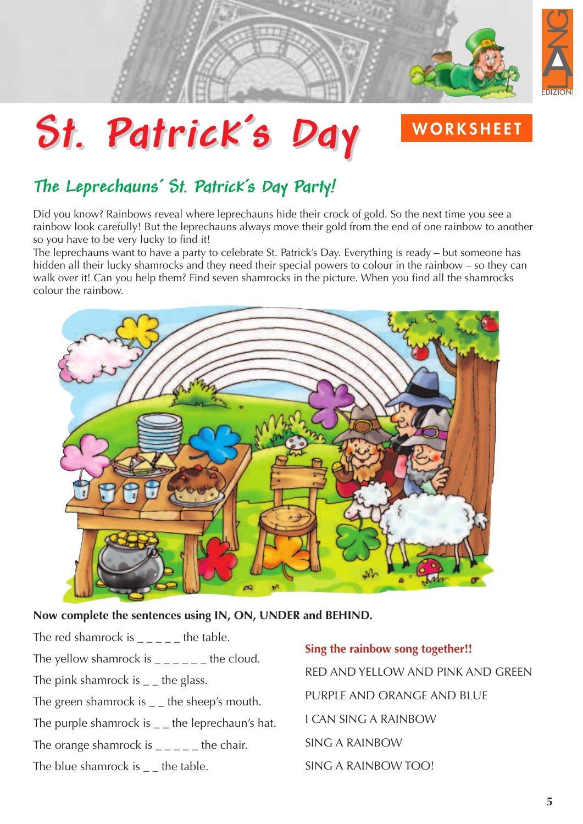

## <span id="page-4-0"></span>**St. Patrick's Day WORKSHEET**

### *The Leprechauns' St. Patrick's Day Party!*

Did you know? Rainbows reveal where leprechauns hide their crock of gold. So the next time you see a rainbow look carefully! But the leprechauns always move their gold from the end of one rainbow to another so you have to be very lucky to find it!

The leprechauns want to have a party to celebrate St. Patrick's Day. Everything is ready – but someone has hidden all their lucky shamrocks and they need their special powers to colour in the rainbow – so they can walk over it! Can you help them? Find seven shamrocks in the picture. When you find all the shamrocks colour the rainbow.



**Now complete the sentences using IN, ON, UNDER and BEHIND.**

The red shamrock is  $\frac{1}{2}$  =  $\frac{1}{2}$  the table. The yellow shamrock is  $\frac{1}{2}$  =  $\frac{1}{2}$  =  $\frac{1}{2}$  the cloud. The pink shamrock is  $\angle$   $\angle$  the glass. The green shamrock is  $\angle$  the sheep's mouth. The purple shamrock is \_ \_ the leprechaun's hat. The orange shamrock is  $\frac{1}{2}$  =  $\frac{1}{2}$  = the chair. The blue shamrock is  $\angle$  \_ the table.

**Sing the rainbow song together!!** RED AND YELLOW AND PINK AND GREEN PURPLE AND ORANGE AND BLUE I CAN SING A RAINBOW SING A RAINBOW SING A RAINBOW TOO!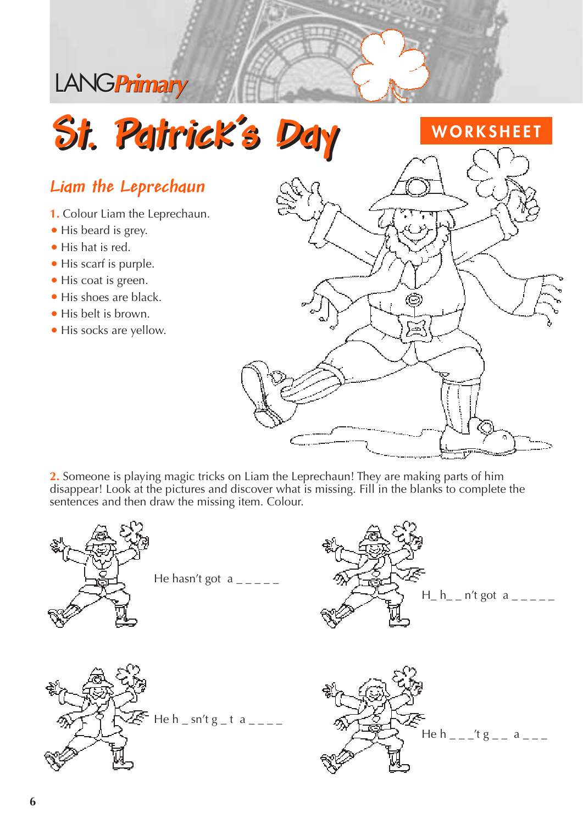

### *Liam the Leprechaun*

LANG**Primary Primary**

- **1.** Colour Liam the Leprechaun.
- His beard is grey.
- His hat is red.
- His scarf is purple.
- His coat is green.
- His shoes are black.
- His belt is brown.
- His socks are yellow.



**2.** Someone is playing magic tricks on Liam the Leprechaun! They are making parts of him disappear! Look at the pictures and discover what is missing. Fill in the blanks to complete the sentences and then draw the missing item. Colour.



He hasn't got  $a_{---}$ 





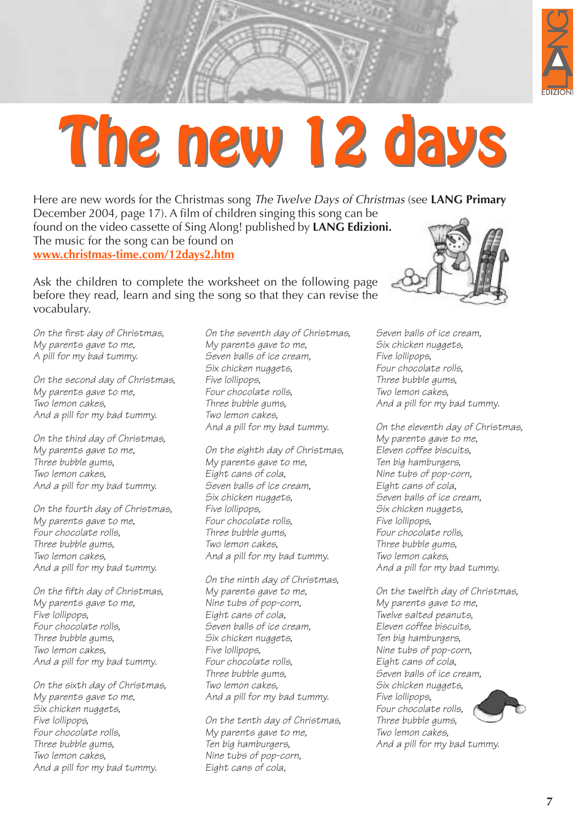

# <span id="page-6-0"></span>The new 12 days

Here are new words for the Christmas song The Twelve Days of Christmas (see **LANG Primary** December 2004, page 17). A film of children singing this song can be found on the video cassette of Sing Along! published by **LANG Edizioni.** The music for the song can be found on **www.christmas-time.com/12days2.htm**

Ask the children to complete the worksheet on the following page before they read, learn and sing the song so that they can revise the vocabulary.

On the first day of Christmas, My parents gave to me, A pill for my bad tummy.

On the second day of Christmas, My parents gave to me, Two lemon cakes, And a pill for my bad tummy.

On the third day of Christmas, My parents gave to me, Three bubble gums, Two lemon cakes, And a pill for my bad tummy.

On the fourth day of Christmas, My parents gave to me, Four chocolate rolls, Three bubble gums, Two lemon cakes, And a pill for my bad tummy.

On the fifth day of Christmas, My parents gave to me, Five lollipops, Four chocolate rolls, Three bubble aums, Two lemon cakes, And a pill for my bad tummy.

On the sixth day of Christmas, My parents gave to me, Six chicken nuggets, Five lollipops, Four chocolate rolls, Three bubble gums, Two lemon cakes, And a pill for my bad tummy.

On the seventh day of Christmas, My parents gave to me, Seven balls of ice cream, Six chicken nuggets, Five lollipops, Four chocolate rolls, Three bubble gums, Two lemon cakes, And a pill for my bad tummy.

On the eighth day of Christmas, My parents gave to me, Eight cans of cola, Seven balls of ice cream, Six chicken nuggets, Five lollipops, Four chocolate rolls, Three bubble aums. Two lemon cakes, And a pill for my bad tummy.

On the ninth day of Christmas, My parents gave to me, Nine tubs of pop-corn, Eight cans of cola, Seven balls of ice cream, Six chicken nuggets, Five lollipops, Four chocolate rolls, Three bubble aums. Two lemon cakes, And a pill for my bad tummy.

On the tenth day of Christmas, My parents gave to me, Ten big hamburgers, Nine tubs of pop-corn, Eight cans of cola,



Seven balls of ice cream, Six chicken nuggets, Five lollipops, Four chocolate rolls, Three bubble gums, Two lemon cakes, And a pill for my bad tummy.

On the eleventh day of Christmas, My parents gave to me, Eleven coffee biscuits, Ten big hamburgers, Nine tubs of pop-corn, Eight cans of cola, Seven balls of ice cream, Six chicken nuggets, Five lollipops, Four chocolate rolls, Three bubble gums, Two lemon cakes, And a pill for my bad tummy.

On the twelfth day of Christmas, My parents gave to me, Twelve salted peanuts, Eleven coffee biscuits, Ten big hamburgers, Nine tubs of pop-corn, Eight cans of cola, Seven balls of ice cream, Six chicken nuggets, Five lollipops, Four chocolate rolls, Three bubble aums. Two lemon cakes, And a pill for my bad tummy.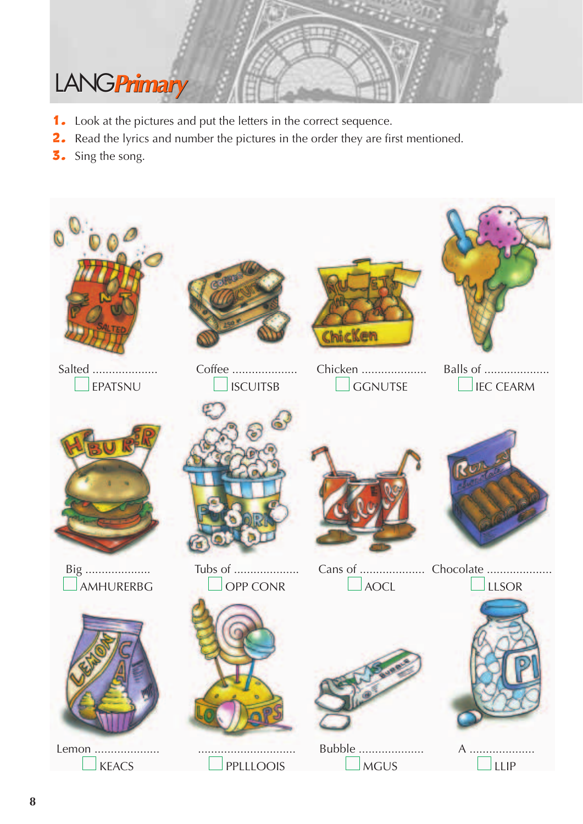

- 1. Look at the pictures and put the letters in the correct sequence.
- 2. Read the lyrics and number the pictures in the order they are first mentioned.
- 3. Sing the song.

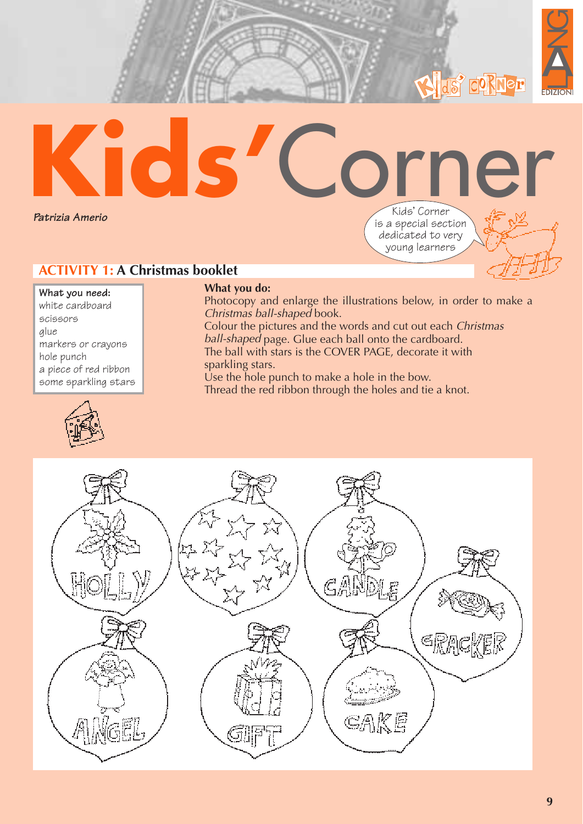

**CORNer** 

### <span id="page-8-0"></span>**Kids'**Corner **Patrizia Amerio** Kids' Corner

is a special section dedicated to very young learners

### **ACTIVITY 1: A Christmas booklet**

### **What you need:**

white cardboard scissors glue markers or crayons hole punch a piece of red ribbon some sparkling stars



### **What you do:**

Photocopy and enlarge the illustrations below, in order to make a Christmas ball-shaped book. Colour the pictures and the words and cut out each Christmas ball-shaped page. Glue each ball onto the cardboard. The ball with stars is the COVER PAGE, decorate it with sparkling stars. Use the hole punch to make a hole in the bow.

Thread the red ribbon through the holes and tie a knot.

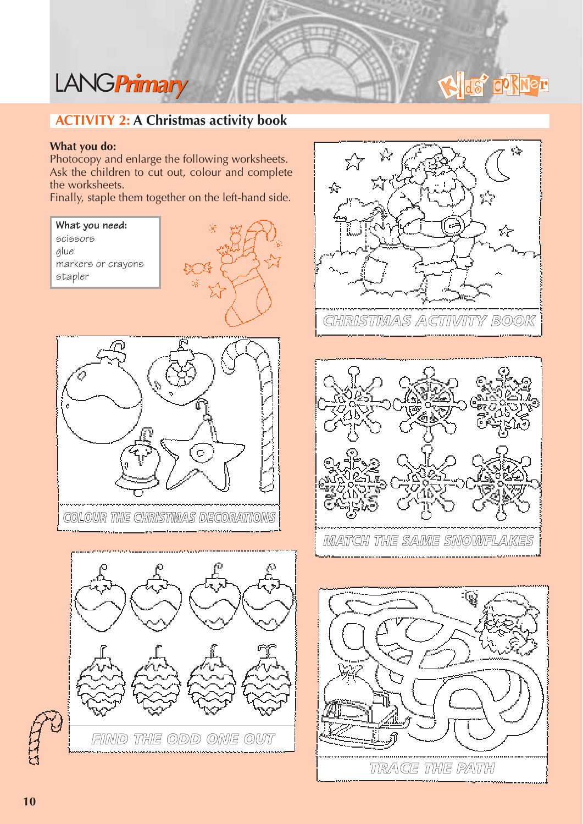### **ACTIVITY 2: A Christmas activity book**

### **What you do:**

Photocopy and enlarge the following worksheets. Ask the children to cut out, colour and complete the worksheets.

Finally, staple them together on the left-hand side.

### **What you need:**

scissors glue markers or crayons stapler











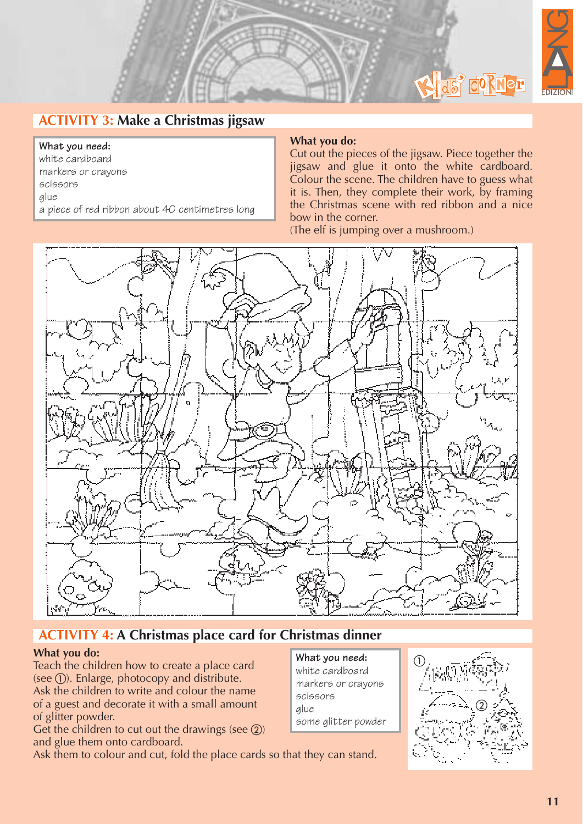

### **ACTIVITY 3: Make a Christmas jigsaw**

### **What you need:**

white cardboard markers or crayons scissors glue a piece of red ribbon about 40 centimetres long

### **What you do:**

Cut out the pieces of the jigsaw. Piece together the jigsaw and glue it onto the white cardboard. Colour the scene. The children have to guess what it is. Then, they complete their work, by framing the Christmas scene with red ribbon and a nice bow in the corner.

(The elf is jumping over a mushroom.)



### **ACTIVITY 4: A Christmas place card for Christmas dinner**

### **What you do:**

Teach the children how to create a place card (see ①). Enlarge, photocopy and distribute. Ask the children to write and colour the name of a guest and decorate it with a small amount of glitter powder.

Get the children to cut out the drawings (see  $(2)$ ) and glue them onto cardboard.

Ask them to colour and cut, fold the place cards so that they can stand.

**What you need:** white cardboard markers or crayons scissors glue some glitter powder

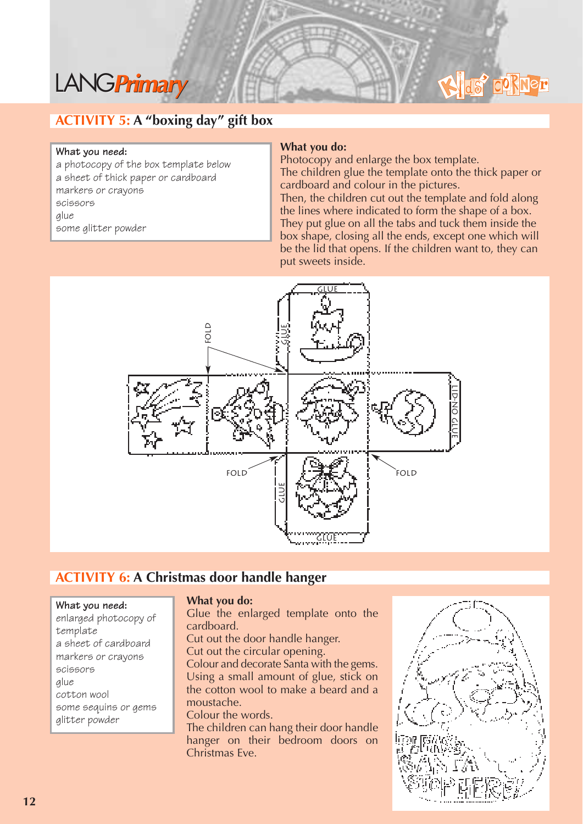### **ACTIVITY 5: A "boxing day" gift box**

### **What you need:**

a photocopy of the box template below a sheet of thick paper or cardboard markers or crayons scissors alue some glitter powder

### **What you do:**

Photocopy and enlarge the box template. The children glue the template onto the thick paper or cardboard and colour in the pictures.

Then, the children cut out the template and fold along the lines where indicated to form the shape of a box. They put glue on all the tabs and tuck them inside the box shape, closing all the ends, except one which will be the lid that opens. If the children want to, they can put sweets inside.



### **ACTIVITY 6: A Christmas door handle hanger**

#### **What you need:**

enlarged photocopy of template a sheet of cardboard markers or crayons scissors glue cotton wool some sequins or gems glitter powder

#### **What you do:**

Glue the enlarged template onto the cardboard.

Cut out the door handle hanger. Cut out the circular opening.

Colour and decorate Santa with the gems. Using a small amount of glue, stick on the cotton wool to make a beard and a moustache.

Colour the words.

The children can hang their door handle hanger on their bedroom doors on Christmas Eve.

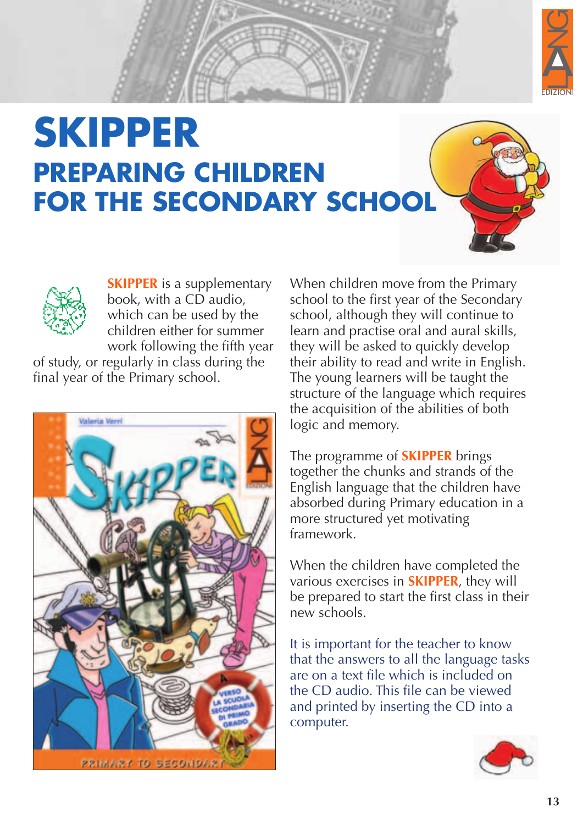

### <span id="page-12-0"></span>**SKIPPER PREPARING CHILDREN FOR THE SECONDARY SCHOOL**



**SKIPPER** is a supplementary book, with a CD audio, which can be used by the children either for summer work following the fifth year

of study, or regularly in class during the final year of the Primary school.



When children move from the Primary school to the first year of the Secondary school, although they will continue to learn and practise oral and aural skills, they will be asked to quickly develop their ability to read and write in English. The young learners will be taught the structure of the language which requires the acquisition of the abilities of both logic and memory.

The programme of **SKIPPER** brings together the chunks and strands of the English language that the children have absorbed during Primary education in a more structured yet motivating framework.

When the children have completed the various exercises in **SKIPPER**, they will be prepared to start the first class in their new schools.

It is important for the teacher to know that the answers to all the language tasks are on a text file which is included on the CD audio. This file can be viewed and printed by inserting the CD into a computer.

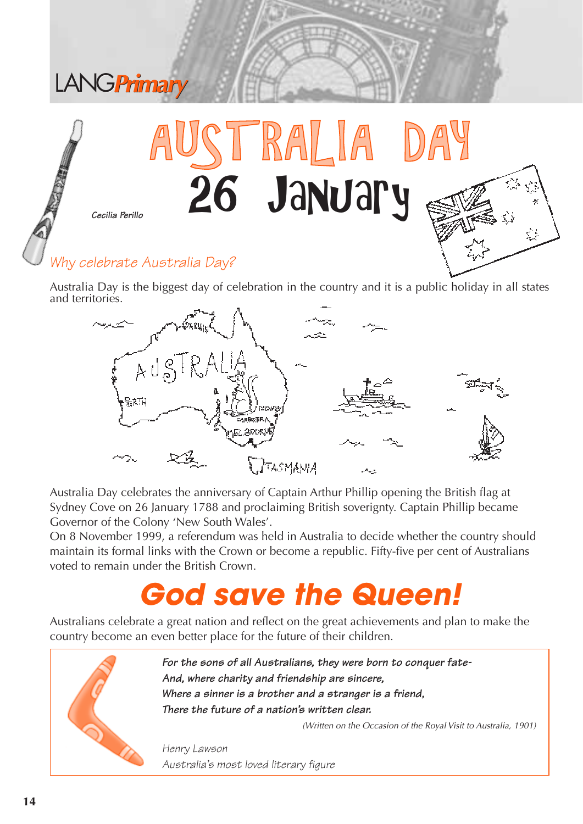<span id="page-13-0"></span>

Australia Day is the biggest day of celebration in the country and it is a public holiday in all states and territories.



Australia Day celebrates the anniversary of Captain Arthur Phillip opening the British flag at Sydney Cove on 26 January 1788 and proclaiming British soverignty. Captain Phillip became Governor of the Colony 'New South Wales'.

On 8 November 1999, a referendum was held in Australia to decide whether the country should maintain its formal links with the Crown or become a republic. Fifty-five per cent of Australians voted to remain under the British Crown.

### **God save the Queen!**

Australians celebrate a great nation and reflect on the great achievements and plan to make the country become an even better place for the future of their children.

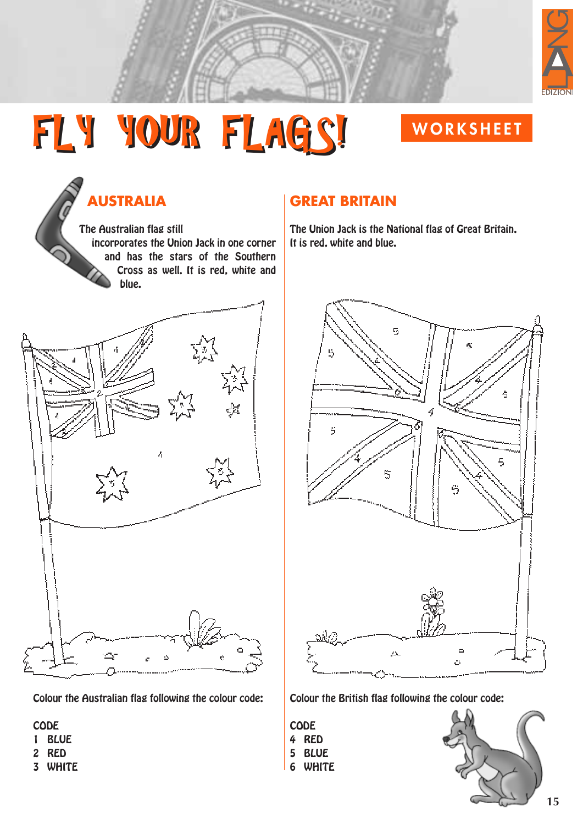

## FLY YOUR FLAGS!

### **WORKSHEET**

### **AUSTRALIA**

The Australian flag still incorporates the Union Jack in one corner and has the stars of the Southern Cross as well. It is red, white and blue.

Colour the Australian flag following the colour code:

### CODE

- 1 BLUE
- 2 RED
- 3 WHITE

### **GREAT BRITAIN**

The Union Jack is the National flag of Great Britain. It is red, white and blue.



Colour the British flag following the colour code:

### **CODE**

- 4 RED
- 5 BLUE
- 6 WHITE

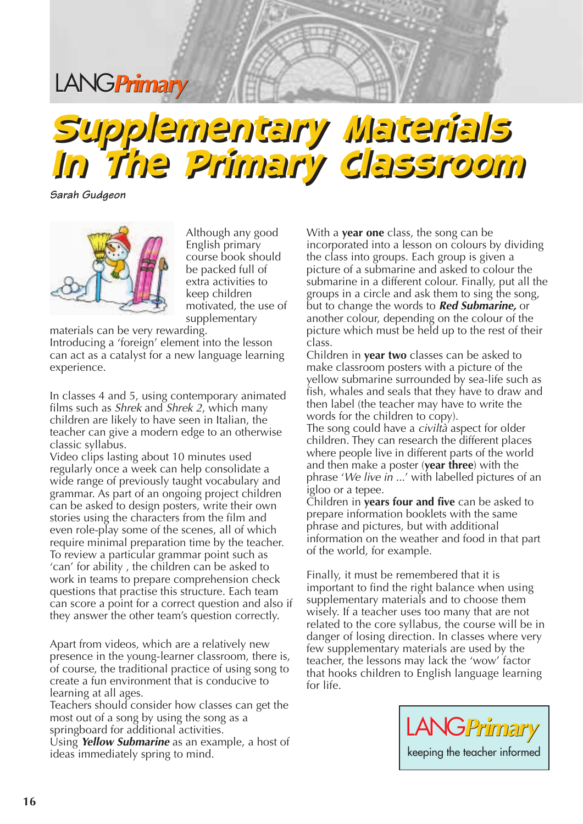<span id="page-15-0"></span>

### *Supplementary Materials In The Primary Classroom Supplementary Materials In The Primary Classroom*

**Sarah Gudgeon**



Although any good English primary course book should be packed full of extra activities to keep children motivated, the use of supplementary

materials can be very rewarding.

Introducing a 'foreign' element into the lesson can act as a catalyst for a new language learning experience.

In classes 4 and 5, using contemporary animated films such as Shrek and Shrek 2, which many children are likely to have seen in Italian, the teacher can give a modern edge to an otherwise classic syllabus.

Video clips lasting about 10 minutes used regularly once a week can help consolidate a wide range of previously taught vocabulary and grammar. As part of an ongoing project children can be asked to design posters, write their own stories using the characters from the film and even role-play some of the scenes, all of which require minimal preparation time by the teacher. To review a particular grammar point such as 'can' for ability , the children can be asked to work in teams to prepare comprehension check questions that practise this structure. Each team can score a point for a correct question and also if they answer the other team's question correctly.

Apart from videos, which are a relatively new presence in the young-learner classroom, there is, of course, the traditional practice of using song to create a fun environment that is conducive to learning at all ages.

Teachers should consider how classes can get the most out of a song by using the song as a springboard for additional activities.

Using **Yellow Submarine** as an example, a host of ideas immediately spring to mind.

With a **year one** class, the song can be incorporated into a lesson on colours by dividing the class into groups. Each group is given a picture of a submarine and asked to colour the submarine in a different colour. Finally, put all the groups in a circle and ask them to sing the song, but to change the words to **Red Submarine,** or another colour, depending on the colour of the picture which must be held up to the rest of their class.

Children in **year two** classes can be asked to make classroom posters with a picture of the yellow submarine surrounded by sea-life such as fish, whales and seals that they have to draw and then label (the teacher may have to write the words for the children to copy).

The song could have a *civiltà* aspect for older children. They can research the different places where people live in different parts of the world and then make a poster (**year three**) with the phrase 'We live in ...' with labelled pictures of an igloo or a tepee.

Children in **years four and five** can be asked to prepare information booklets with the same phrase and pictures, but with additional information on the weather and food in that part of the world, for example.

Finally, it must be remembered that it is important to find the right balance when using supplementary materials and to choose them wisely. If a teacher uses too many that are not related to the core syllabus, the course will be in danger of losing direction. In classes where very few supplementary materials are used by the teacher, the lessons may lack the 'wow' factor that hooks children to English language learning for life.

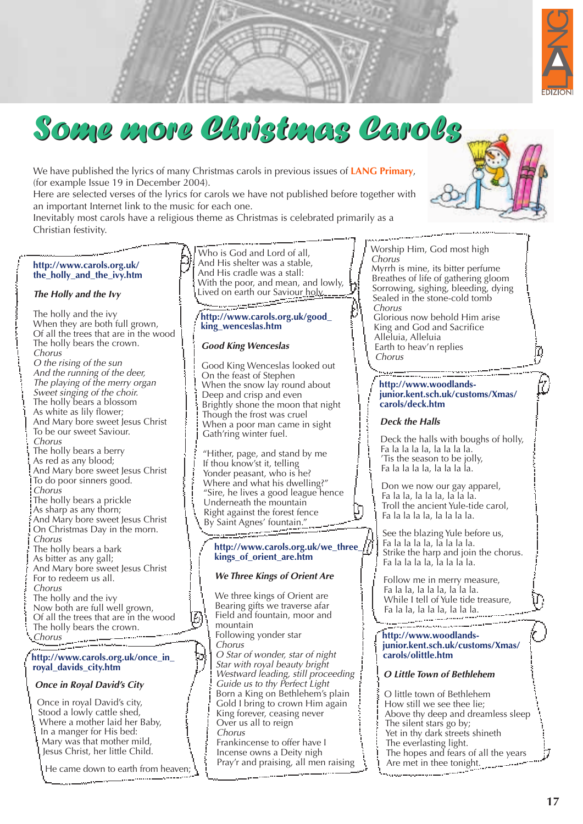

### <span id="page-16-0"></span>*Some more Christmas Carols Some more Christmas Carols*

We have published the lyrics of many Christmas carols in previous issues of **LANG Primary**, (for example Issue 19 in December 2004).

Here are selected verses of the lyrics for carols we have not published before together with an important Internet link to the music for each one.

Inevitably most carols have a religious theme as Christmas is celebrated primarily as a Christian festivity.

#### **http://www.carols.org.uk/ the\_holly\_and\_the\_ivy.htm**

### **The Holly and the Ivy**

The holly and the ivy When they are both full grown, Of all the trees that are in the wood The holly bears the crown. Chorus O the rising of the sun And the running of the deer, The playing of the merry organ Sweet singing of the choir. The holly bears a blossom As white as lily flower; And Mary bore sweet Jesus Christ To be our sweet Saviour. Chorus The holly bears a berry As red as any blood; And Mary bore sweet Jesus Christ To do poor sinners good. Chorus The holly bears a prickle As sharp as any thorn; And Mary bore sweet Jesus Christ On Christmas Day in the morn. Chorus The holly bears a bark As bitter as any gall; And Mary bore sweet Jesus Christ For to redeem us all. Chorus The holly and the ivy Now both are full well grown, Of all the trees that are in the wood The holly bears the crown. Chorus

#### **http://www.carols.org.uk/once\_in\_ royal\_davids\_city.htm**

### **Once in Royal David's City**

Once in royal David's city, Stood a lowly cattle shed, Where a mother laid her Baby, In a manger for His bed: Mary was that mother mild, Jesus Christ, her little Child.

He came down to earth from heaven;

Who is God and Lord of all, And His shelter was a stable, And His cradle was a stall: With the poor, and mean, and lowly, Lived on earth our Saviour <u>holy.</u><br><del>است سال ۱۳۶۰ - است سال ۱۳۶۰</del>

### **http://www.carols.org.uk/good\_ king\_wenceslas.htm**

### **Good King Wenceslas**

Good King Wenceslas looked out On the feast of Stephen When the snow lay round about Deep and crisp and even Brightly shone the moon that night Though the frost was cruel When a poor man came in sight Gath'ring winter fuel.

"Hither, page, and stand by me If thou know'st it, telling Yonder peasant, who is he? Where and what his dwelling?" "Sire, he lives a good league hence Underneath the mountain Right against the forest fence By Saint Agnes' fountain."<br>By Saint Agnes' fountain."

#### **http://www.carols.org.uk/we\_three\_ kings\_of\_orient\_are.htm**

### **We Three Kings of Orient Are**

We three kings of Orient are Bearing gifts we traverse afar Field and fountain, moor and mountain Following yonder star Chorus O Star of wonder, star of night Star with royal beauty bright Westward leading, still proceeding Guide us to thy Perfect Light Born a King on Bethlehem's plain Gold I bring to crown Him again King forever, ceasing never Over us all to reign Chorus Frankincense to offer have I Incense owns a Deity nigh Pray'r and praising, all men raising

Worship Him, God most high Chorus Myrrh is mine, its bitter perfume Breathes of life of gathering gloom Sorrowing, sighing, bleeding, dying Sealed in the stone-cold tomb Chorus Glorious now behold Him arise King and God and Sacrifice Alleluia, Alleluia Earth to heav'n replies Chorus

**http://www.woodlandsjunior.kent.sch.uk/customs/Xmas/ carols/deck.htm**

### **Deck the Halls**

Deck the halls with boughs of holly, Fa la la la la, la la la la. 'Tis the season to be jolly, Fa la la la la, la la la la.

Don we now our gay apparel, Fa la la, la la la, la la la. Troll the ancient Yule-tide carol, Fa la la la la, la la la la.

See the blazing Yule before us, Fa la la la la, la la la la. Strike the harp and join the chorus. Fa la la la la, la la la la.

Follow me in merry measure, Fa la la, la la la, la la la. While I tell of Yule tide treasure, Fa la la, la la la, la la la.

#### ...<br>www.www.com.com **http://www.woodlandsjunior.kent.sch.uk/customs/Xmas/ carols/olittle.htm**

### **O Little Town of Bethlehem**

O little town of Bethlehem How still we see thee lie; Above thy deep and dreamless sleep The silent stars go by; Yet in thy dark streets shineth The everlasting light. The hopes and fears of all the years Are met in thee tonight.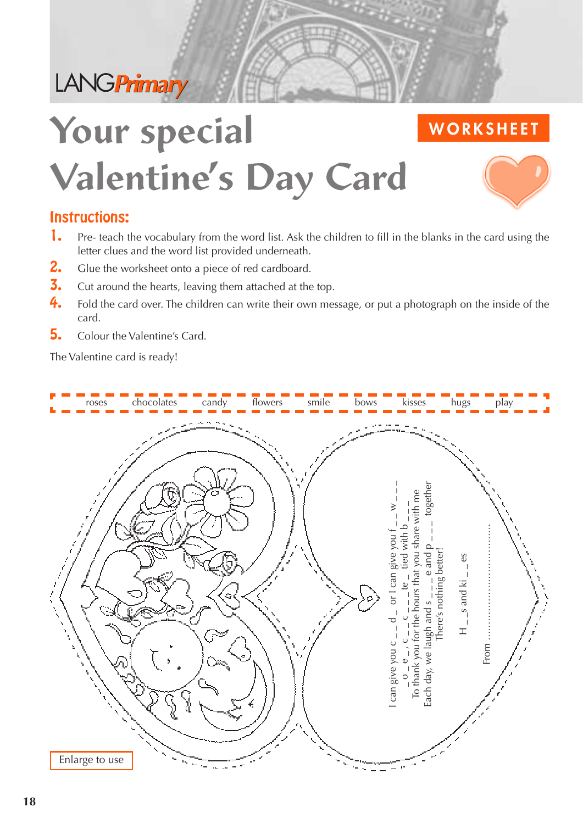## <span id="page-17-0"></span>Your special WORKSHEET **Valentine's Day Card**

### Instructions:

- **1.** Pre- teach the vocabulary from the word list. Ask the children to fill in the blanks in the card using the letter clues and the word list provided underneath.
- **2.** Glue the worksheet onto a piece of red cardboard.
- **3.** Cut around the hearts, leaving them attached at the top.
- 4. Fold the card over. The children can write their own message, or put a photograph on the inside of the card.
- **5.** Colour the Valentine's Card.

The Valentine card is ready!

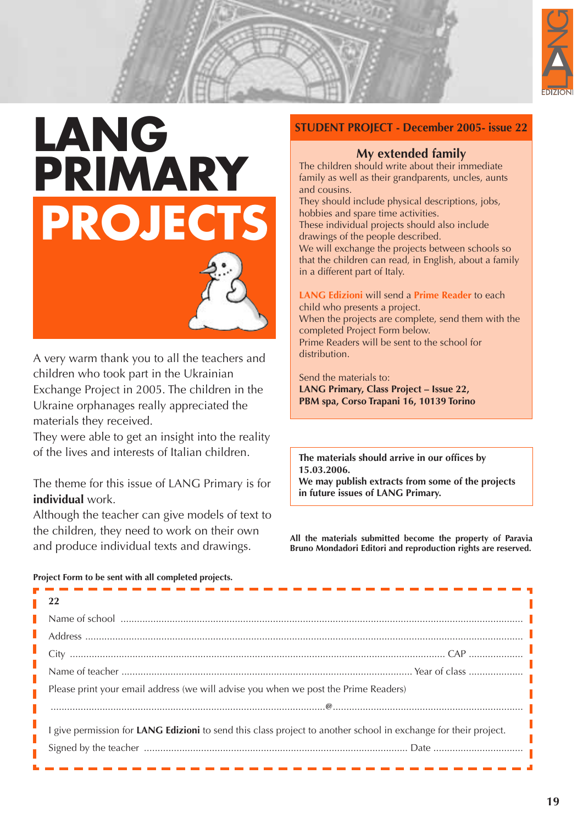

# <span id="page-18-0"></span>**LANG PRIMARY PROJECTS**

A very warm thank you to all the teachers and children who took part in the Ukrainian Exchange Project in 2005. The children in the Ukraine orphanages really appreciated the materials they received.

They were able to get an insight into the reality of the lives and interests of Italian children.

The theme for this issue of LANG Primary is for **individual** work.

Although the teacher can give models of text to the children, they need to work on their own and produce individual texts and drawings.

**Project Form to be sent with all completed projects.**

### **STUDENT PROJECT - December 2005- issue 22**

### **My extended family**

The children should write about their immediate family as well as their grandparents, uncles, aunts and cousins.

They should include physical descriptions, jobs, hobbies and spare time activities. These individual projects should also include drawings of the people described. We will exchange the projects between schools so that the children can read, in English, about a family in a different part of Italy.

**LANG Edizioni** will send a **Prime Reader** to each child who presents a project. When the projects are complete, send them with the completed Project Form below. Prime Readers will be sent to the school for distribution.

Send the materials to: **LANG Primary, Class Project – Issue 22, PBM spa, Corso Trapani 16, 10139 Torino**

**The materials should arrive in our offices by 15.03.2006. We may publish extracts from some of the projects in future issues of LANG Primary.**

**All the materials submitted become the property of Paravia Bruno Mondadori Editori and reproduction rights are reserved.**

| .<br>. <u>.</u>                                                                                                 |  |  |
|-----------------------------------------------------------------------------------------------------------------|--|--|
| 22                                                                                                              |  |  |
| П                                                                                                               |  |  |
| П                                                                                                               |  |  |
| L                                                                                                               |  |  |
|                                                                                                                 |  |  |
| Please print your email address (we will advise you when we post the Prime Readers)                             |  |  |
|                                                                                                                 |  |  |
| I give permission for LANG Edizioni to send this class project to another school in exchange for their project. |  |  |
|                                                                                                                 |  |  |